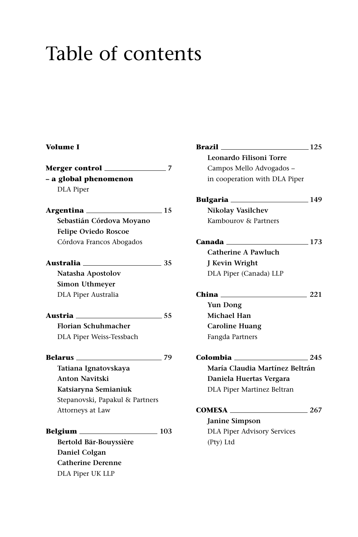## Table of contents

## **Volume I**

|                                    | 7   |
|------------------------------------|-----|
| - a global phenomenon              |     |
| <b>DLA</b> Piper                   |     |
|                                    |     |
| Argentina 15                       |     |
| Sebastián Córdova Moyano           |     |
| <b>Felipe Oviedo Roscoe</b>        |     |
| Córdova Francos Abogados           |     |
| Australia <b>____________</b> ____ | 35  |
| Natasha Apostolov                  |     |
| <b>Simon Uthmeyer</b>              |     |
| DLA Piper Australia                |     |
| Austria <sub>—</sub><br>$\sim$ 55  |     |
| <b>Florian Schuhmacher</b>         |     |
| DLA Piper Weiss-Tessbach           |     |
| Belarus                            | 79  |
| Tatiana Ignatovskaya               |     |
| <b>Anton Navitski</b>              |     |
| Katsiaryna Semianiuk               |     |
| Stepanovski, Papakul & Partners    |     |
| Attorneys at Law                   |     |
|                                    | 103 |
| Bertold Bär-Bouyssière             |     |
| Daniel Colgan                      |     |
| <b>Catherine Derenne</b>           |     |

DLA Piper UK LLP

**Brazil 125 Leonardo Filisoni Torre** Campos Mello Advogados – in cooperation with DLA Piper **Bulgaria 149 Nikolay Vasilchev** Kambourov & Partners **Canada 173 Catherine A Pawluch J Kevin Wright** DLA Piper (Canada) LLP **China 221 Yun Dong Michael Han Caroline Huang** Fangda Partners **Colombia 245 María Claudia Martínez Beltrán Daniela Huertas Vergara** DLA Piper Martinez Beltran **COMESA 267 Janine Simpson** DLA Piper Advisory Services (Pty) Ltd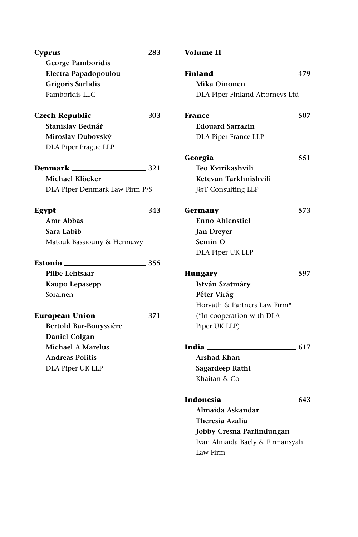| $\sim$ 283<br>Cvprus                      | <b>Volume II</b> |
|-------------------------------------------|------------------|
| <b>George Pamboridis</b>                  |                  |
| Electra Papadopoulou                      | Finland _        |
| Grigoris Sarlidis                         | Mika O           |
| Pamboridis LLC                            | DLA Pip          |
|                                           | France __        |
| Stanislav Bednář                          | Edouar           |
| Miroslav Dubovský                         | DLA Pip          |
| DLA Piper Prague LLP                      |                  |
|                                           | Georgia _        |
| <b>Denmark</b> $\qquad \qquad \qquad 321$ | Teo Kvi          |
| Michael Klöcker                           | Ketevar          |
| DLA Piper Denmark Law Firm P/S            | J&T Cor          |
| $\text{ Egypt}$ 343                       | Germany          |
| <b>Amr Abbas</b>                          | Enno A           |
| Sara Labib                                | <b>Jan Dre</b>   |
| Matouk Bassiouny & Hennawy                | Semin            |
|                                           | DLA Pip          |
| <b>Estonia</b> 355                        |                  |
| Piibe Lehtsaar                            | <b>Hungary</b>   |
| Kaupo Lepasepp                            | István 9         |
| Sorainen                                  | Péter V          |
|                                           | Horváth          |
| <b>European Union</b> 271                 | $(*Inco$         |
| Bertold Bär-Bouyssière                    | Piper Ul         |
| Daniel Colgan                             |                  |
| <b>Michael A Marelus</b>                  | India ______     |
| <b>Andreas Politis</b>                    | Arshad           |
| DLA Piper UK LLP                          | Sagarde          |
|                                           | Khaitan          |
|                                           |                  |

| Volume II |  |
|-----------|--|
|-----------|--|

| Electra Papadopoulou             | Finland<br>$\frac{479}{ }$      |
|----------------------------------|---------------------------------|
| <b>Grigoris Sarlidis</b>         | Mika Oinonen                    |
| Pamboridis LLC                   | DLA Piper Finland Attorneys Ltd |
|                                  | France<br>$-507$                |
| Stanislav Bednář                 | <b>Edouard Sarrazin</b>         |
| Miroslav Dubovský                | DLA Piper France LLP            |
| DLA Piper Prague LLP             |                                 |
|                                  |                                 |
|                                  | Teo Kvirikashvili               |
| Michael Klöcker                  | Ketevan Tarkhnishvili           |
| DLA Piper Denmark Law Firm P/S   | J&T Consulting LLP              |
| Egypt $\frac{343}{2}$            |                                 |
| Amr Abbas                        | <b>Enno Ahlenstiel</b>          |
| Sara Labib                       | <b>Jan Dreyer</b>               |
| Matouk Bassiouny & Hennawy       | Semin O                         |
|                                  | DLA Piper UK LLP                |
| Estonia __________<br>$\sim$ 355 |                                 |
| Piibe Lehtsaar                   |                                 |
| Kaupo Lepasepp                   | István Szatmáry                 |
| Sorainen                         | Péter Virág                     |
|                                  | Horváth & Partners Law Firm*    |
| <b>European Union</b> 271        | (*In cooperation with DLA       |
| Bertold Bär-Bouyssière           | Piper UK LLP)                   |
| Daniel Colgan                    |                                 |
| <b>Michael A Marelus</b>         | India $617$                     |
| <b>Andreas Politis</b>           | Arshad Khan                     |
| DLA Piper UK LLP                 | Sagardeep Rathi                 |
|                                  | Khaitan & Co                    |
|                                  | Indonesia 2008 643              |
|                                  | Almaida Askandar                |
|                                  | <b>Theresia Azalia</b>          |
|                                  | Jobby Cresna Parlindungan       |
|                                  | Ivan Almaida Baely & Firmansyah |
|                                  | Law Firm                        |
|                                  |                                 |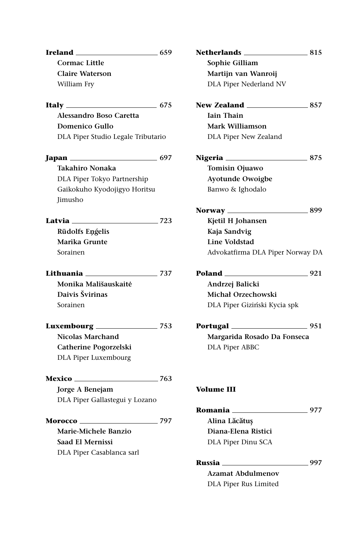| Ireland                                  | 659    |
|------------------------------------------|--------|
| <b>Cormac Little</b>                     |        |
| <b>Claire Waterson</b>                   |        |
| William Fry                              |        |
|                                          | 675    |
| Alessandro Boso Caretta                  |        |
| Domenico Gullo                           |        |
| DLA Piper Studio Legale Tributario       |        |
| Japan                                    | . 697  |
| Takahiro Nonaka                          |        |
| DLA Piper Tokyo Partnership              |        |
| Gaikokuho Kyodojigyo Horitsu             |        |
| Jimusho                                  |        |
| Latvia —                                 | _ 723  |
| Rūdolfs Engelis                          |        |
| Marika Grunte                            |        |
| Sorainen                                 |        |
| Lithuania <b>compared to the compare</b> | 737    |
| Monika Mališauskaitė                     |        |
| Daivis Švirinas                          |        |
| Sorainen                                 |        |
| Luxembourg                               | $-753$ |
| Nicolas Marchand                         |        |
| Catherine Pogorzelski                    |        |
| DLA Piper Luxembourg                     |        |
| <b>Mexico</b> _______________            | 763    |
| Jorge A Benejam                          |        |
| DLA Piper Gallastegui y Lozano           |        |
| Morocco                                  | 797    |
| Marie-Michele Banzio                     |        |
| Saad El Mernissi                         |        |
|                                          |        |

| Netherlands ___<br>$\sim$ 815    |        |
|----------------------------------|--------|
| Sophie Gilliam                   |        |
| Martijn van Wanroij              |        |
| DLA Piper Nederland NV           |        |
| <b>New Zealand</b> 857           |        |
| <b>Jain Thain</b>                |        |
| Mark Williamson                  |        |
| DLA Piper New Zealand            |        |
|                                  | $-875$ |
| Tomisin Ojuawo                   |        |
| <b>Ayotunde Owoigbe</b>          |        |
| Banwo & Ighodalo                 |        |
| Norway $\_\_$                    | $-899$ |
| Kjetil H Johansen                |        |
| Kaja Sandvig                     |        |
| <b>Line Voldstad</b>             |        |
| Advokatfirma DLA Piper Norway DA |        |
| Poland                           | $-921$ |
| Andrzej Balicki                  |        |
| <b>Michał Orzechowski</b>        |        |
| DLA Piper Giziński Kycia spk     |        |
| $\frac{1}{2}$ 951                |        |
| Margarida Rosado Da Fonseca      |        |
| <b>DLA Piper ABBC</b>            |        |
|                                  |        |
| Volume III                       |        |
| Romania <sub>—</sub>             | .977   |
| Alina Lăcătuș                    |        |
| Diana-Elena Ristici              |        |
| DLA Piper Dinu SCA               |        |
| Russia                           | 997    |

**Azamat Abdulmenov** DLA Piper Rus Limited